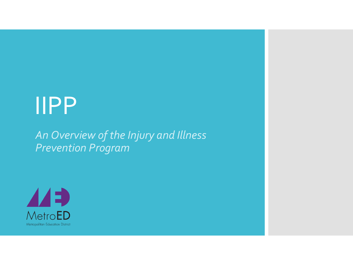# IIPP

*An Overview of the Injury and Illness Prevention Program*

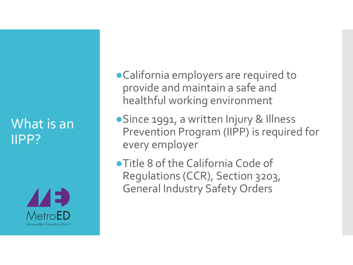### What is an IIPP?



- ●California employers are required to provide and maintain a safe and healthful working environment
- Since 1991, a written Injury & Illness Prevention Program (IIPP) is required for every employer
- ●Title 8 of the California Code of Regulations (CCR), Section 3203, General Industry Safety Orders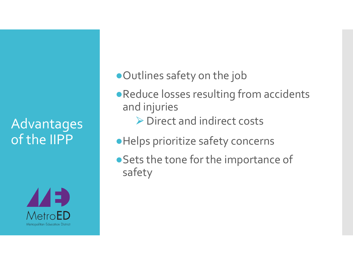## Advantages of the IIPP



●Outlines safety on the job

- ●Reduce losses resulting from accidents and injuries
	- ⮚Direct and indirect costs
- ●Helps prioritize safety concerns
- Sets the tone for the importance of safety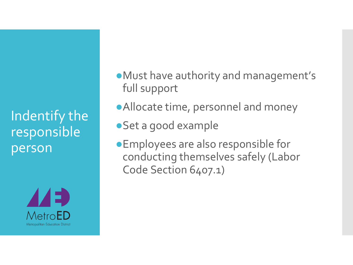Indentify the responsible person



- ●Must have authority and management's full support
- ●Allocate time, personnel and money
- ●Set a good example
- ●Employees are also responsible for conducting themselves safely (Labor Code Section 6407.1)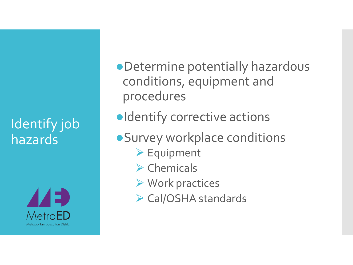Identify job hazards



- ●Determine potentially hazardous conditions, equipment and procedures
- ●Identify corrective actions
- ●Survey workplace conditions
	- ▶ Equipment
	- $\triangleright$  Chemicals
	- **► Work practices**
	- ▶ Cal/OSHA standards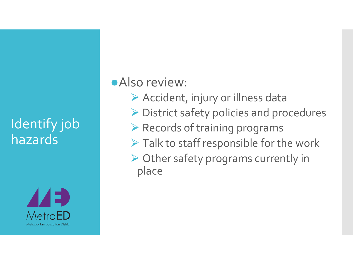## Identify job hazards



### **•Also review:**

- ▶ Accident, injury or illness data
- **► District safety policies and procedures**
- $\triangleright$  Records of training programs
- $\triangleright$  Talk to staff responsible for the work
- ⮚ Other safety programs currently in place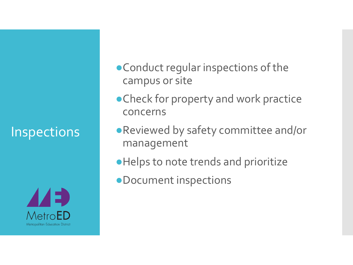## Inspections



- ●Conduct regular inspections of the campus or site
- ●Check for property and work practice concerns
- ●Reviewed by safety committee and/or management
- ●Helps to note trends and prioritize
- ●Document inspections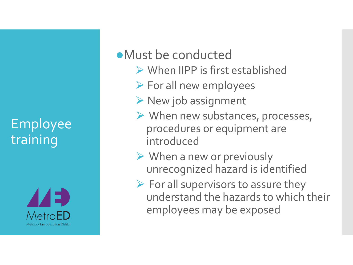# Employee training



#### ●Must be conducted

- ⮚ When IIPP is first established
- $\triangleright$  For all new employees
- $\triangleright$  New job assignment
- $\triangleright$  When new substances, processes, procedures or equipment are introduced
- $\triangleright$  When a new or previously unrecognized hazard is identified
- $\triangleright$  For all supervisors to assure they understand the hazards to which their employees may be exposed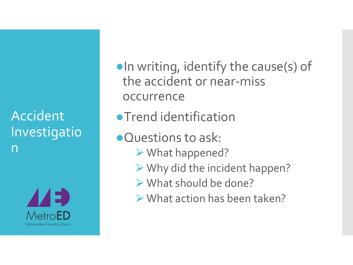Accident Investigatio n



●In writing, identify the cause(s) of the accident or near-miss occurrence

- ●Trend identification
- ●Questions to ask:
	- ⮚What happened?
	- ⮚Why did the incident happen?
	- $\triangleright$  What should be done?
	- $\triangleright$  What action has been taken?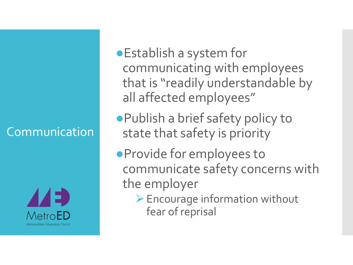#### Communication



- ●Establish a system for communicating with employees that is "readily understandable by all affected employees"
- ●Publish a brief safety policy to state that safety is priority
- ●Provide for employees to communicate safety concerns with the employer
	- $\triangleright$  Encourage information without fear of reprisal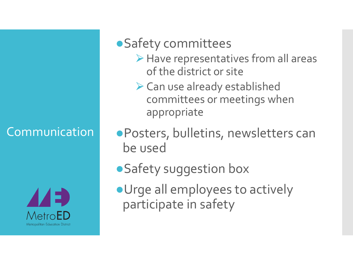#### **Communication**



# ●Safety committees

- $\triangleright$  Have representatives from all areas of the district or site
- **► Can use already established** committees or meetings when appropriate
- ●Posters, bulletins, newsletters can be used
- ●Safety suggestion box
- ●Urge all employees to actively participate in safety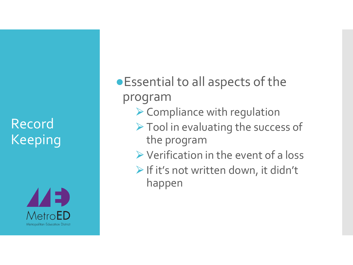Record Keeping



●Essential to all aspects of the program

- ▶ Compliance with regulation
- ▶ Tool in evaluating the success of the program
- ⮚Verification in the event of a loss
- $\triangleright$  If it's not written down, it didn't happen